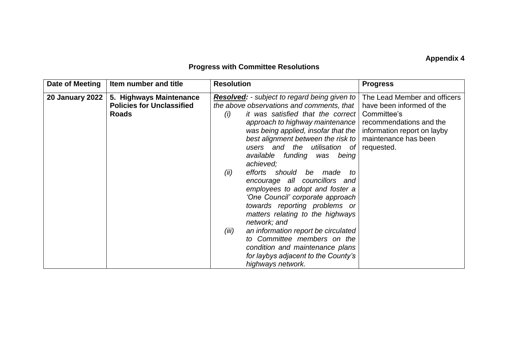## **Appendix 4**

## **Progress with Committee Resolutions**

| Date of Meeting        | Item number and title                                                       | <b>Resolution</b>                                                                                                                                                                                                                                                                                                                                                                                                                                                                                                                                                                            | <b>Progress</b>                                                                                                                                                          |
|------------------------|-----------------------------------------------------------------------------|----------------------------------------------------------------------------------------------------------------------------------------------------------------------------------------------------------------------------------------------------------------------------------------------------------------------------------------------------------------------------------------------------------------------------------------------------------------------------------------------------------------------------------------------------------------------------------------------|--------------------------------------------------------------------------------------------------------------------------------------------------------------------------|
| <b>20 January 2022</b> | 5. Highways Maintenance<br><b>Policies for Unclassified</b><br><b>Roads</b> | <b>Resolved:</b> - subject to regard being given to  <br>the above observations and comments, that $\vert$<br>it was satisfied that the correct<br>(i)<br>approach to highway maintenance  <br>was being applied, insofar that the<br>best alignment between the risk to<br>users and the<br>utilisation of<br>available funding was being<br>achieved;<br>efforts should be made<br>(ii)<br>to<br>encourage all councillors and<br>employees to adopt and foster a<br>'One Council' corporate approach<br>towards reporting problems or<br>matters relating to the highways<br>network; and | The Lead Member and officers<br>have been informed of the<br>Committee's<br>recommendations and the<br>information report on layby<br>maintenance has been<br>requested. |
|                        |                                                                             | an information report be circulated<br>(iii)<br>to Committee members on the<br>condition and maintenance plans<br>for laybys adjacent to the County's<br>highways network.                                                                                                                                                                                                                                                                                                                                                                                                                   |                                                                                                                                                                          |